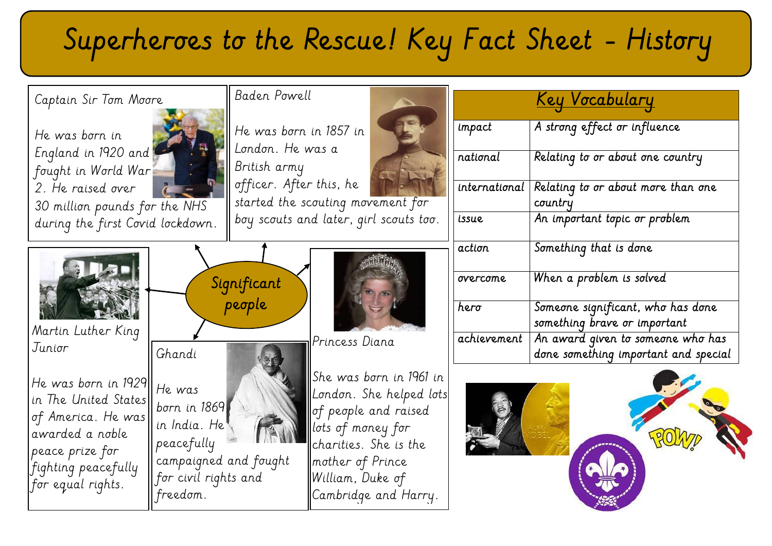# Superheroes to the Rescue! Key Fact Sheet - History

| Captain Sir Tom Moore                                                                                                                                | Baden Powell                                                                                                      |                                                              |                                                                                                                                                                                                  |                                                                   |                                  | <u>Key Vocabulary</u>                                                     |
|------------------------------------------------------------------------------------------------------------------------------------------------------|-------------------------------------------------------------------------------------------------------------------|--------------------------------------------------------------|--------------------------------------------------------------------------------------------------------------------------------------------------------------------------------------------------|-------------------------------------------------------------------|----------------------------------|---------------------------------------------------------------------------|
| He was born in<br>England in 1920 and<br>fought in World War<br>2. He raised over<br>$\int_{0}^{\frac{\pi}{2}}$ and<br>30 million pounds for the NHS |                                                                                                                   | He was born in 1857 in                                       |                                                                                                                                                                                                  |                                                                   | impact                           | A strong effect or influence                                              |
|                                                                                                                                                      |                                                                                                                   | London. He was a<br>British army                             |                                                                                                                                                                                                  | national                                                          | Relating to or about one country |                                                                           |
|                                                                                                                                                      |                                                                                                                   | officer. After this, he<br>started the scouting movement for |                                                                                                                                                                                                  |                                                                   | international                    | Relating to or about more than one<br>country                             |
| during the first Covid lockdown.                                                                                                                     |                                                                                                                   | boy scouts and later, girl scouts too.                       |                                                                                                                                                                                                  | issue                                                             | An important topic or problem    |                                                                           |
|                                                                                                                                                      |                                                                                                                   |                                                              |                                                                                                                                                                                                  |                                                                   | action                           | Something that is done                                                    |
|                                                                                                                                                      | Significant<br>people                                                                                             |                                                              | overcome                                                                                                                                                                                         | When a problem is solved                                          |                                  |                                                                           |
| Martin Luther King                                                                                                                                   |                                                                                                                   |                                                              | hero                                                                                                                                                                                             | Someone significant, who has done<br>something brave or important |                                  |                                                                           |
| Junior                                                                                                                                               | Ghandi                                                                                                            |                                                              | Princess Diana                                                                                                                                                                                   |                                                                   | achievement                      | An award given to someone who has<br>done something important and special |
| He was born in 1929<br>in The United States<br>of America. He was<br>awarded a noble<br>peace prize for<br>fighting peacefully<br>for equal rights.  | He was<br>born in 1869<br>in India. He<br>peacefully<br>campaigned and fought<br>for civil rights and<br>freedom. |                                                              | She was born in 1961 in<br>London. She helped lots<br>of people and raised<br>$ $ lots of money for $ $<br>charities. She is the<br>mother of Prince<br>William, Duke of<br>Cambridge and Harry. |                                                                   |                                  |                                                                           |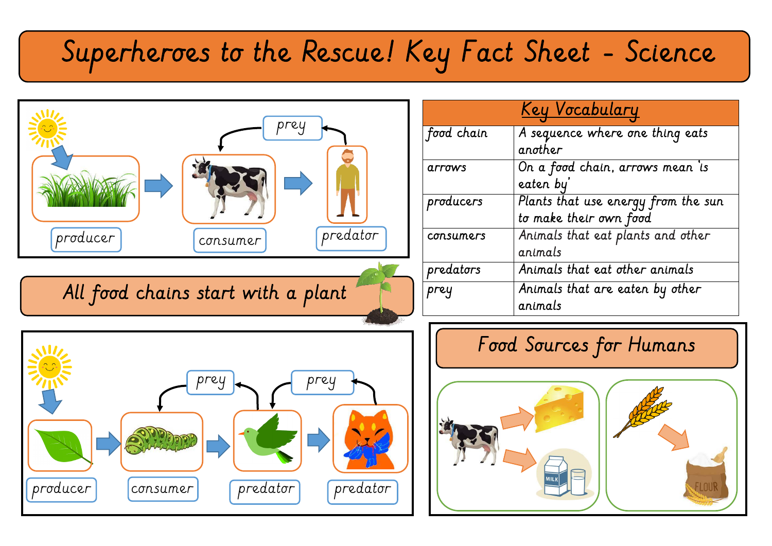## Superheroes to the Rescue! Key Fact Sheet - Science